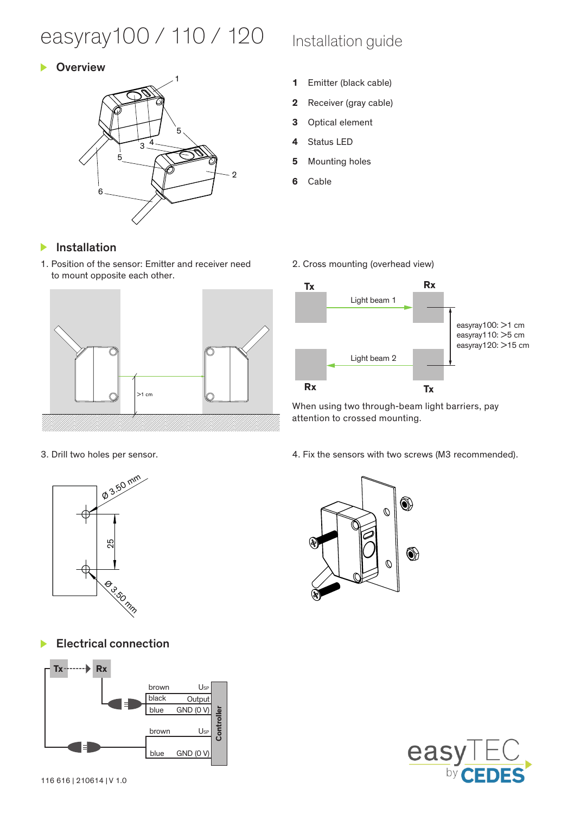# easyray100 / 110 / 120 Installation guide

### **D**verview



- <sup>1</sup> **1** Emitter (black cable)
- **2** Receiver (gray cable)
- **3** Optical element
- **4** Status LED
- **5** Mounting holes
- **6** Cable

#### Ы Installation

1. Position of the sensor: Emitter and receiver need to mount opposite each other.



3. Drill two holes per sensor.





When using two through-beam light barriers, pay attention to crossed mounting.

4. Fix the sensors with two screws (M3 recommended).



ь Electrical connection





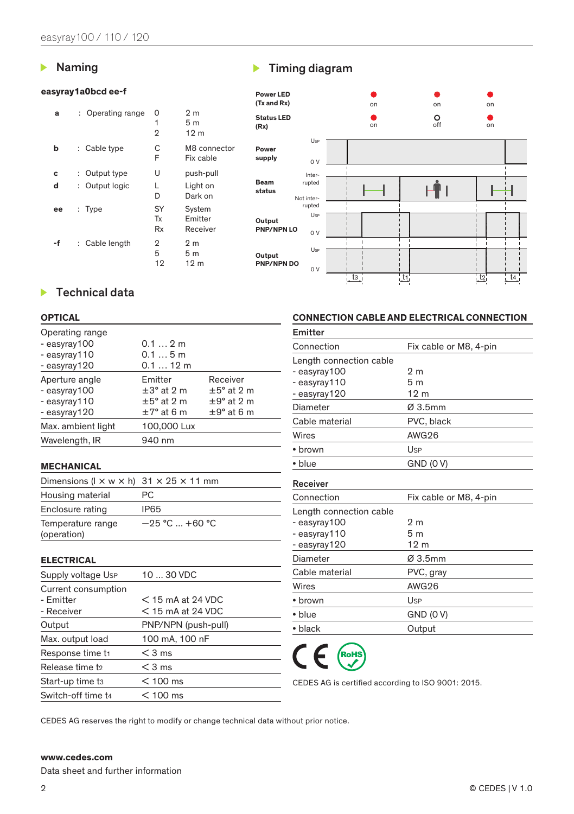### **Naming**

#### **easyray1a0bcd ee-f**

| a  |    | Operating range | Ω<br>1<br>$\mathfrak{D}$ | 2m<br>5 m<br>12 <sub>m</sub>            |
|----|----|-----------------|--------------------------|-----------------------------------------|
| b  | t. | Cable type      | C<br>F                   | M8 connector<br>Fix cable               |
| c  | ۰. | Output type     | U                        | push-pull                               |
| d  | ÷. | Output logic    | L<br>D                   | Light on<br>Dark on                     |
| ee |    | : Type          | SY<br>Tx<br>Rx           | System<br>Emitter<br>Receiver           |
| -f | ۰. | Cable length    | 2<br>5<br>12             | 2m<br>5 <sub>m</sub><br>12 <sub>m</sub> |

# Timing diagram



# ▶ Technical data

#### **OPTICAL**

| Operating range    |                        |                        |
|--------------------|------------------------|------------------------|
| - easyray100       | 0.12m                  |                        |
| - easyray110       | 0.15m                  |                        |
| - easyray120       | $0.112$ m              |                        |
| Aperture angle     | Emitter                | Receiver               |
| - easyray100       | $\pm 3^{\circ}$ at 2 m | $\pm 5^{\circ}$ at 2 m |
| - easyray110       | $\pm 5^{\circ}$ at 2 m | $\pm$ 9° at 2 m        |
| - easyray120       | $\pm 7^{\circ}$ at 6 m | $\pm$ 9° at 6 m        |
| Max. ambient light | 100,000 Lux            |                        |
| Wavelength, IR     | 940 nm                 |                        |

#### **MECHANICAL**

| Dimensions ( $1 \times w \times h$ ) 31 $\times$ 25 $\times$ 11 mm |                  |
|--------------------------------------------------------------------|------------------|
| Housing material                                                   | PC.              |
| Enclosure rating                                                   | <b>IP65</b>      |
| Temperature range<br>(operation)                                   | $-25 °C  +60 °C$ |

#### **ELECTRICAL**

| Supply voltage Usp             | $1030$ VDC          |
|--------------------------------|---------------------|
| Current consumption            |                     |
| - Emitter                      | $<$ 15 mA at 24 VDC |
| - Receiver                     | $<$ 15 mA at 24 VDC |
| Output                         | PNP/NPN (push-pull) |
| Max. output load               | 100 mA, 100 nF      |
| Response time t <sub>1</sub>   | $<$ 3 ms            |
| Release time to                | $<$ 3 ms            |
| Start-up time t <sub>3</sub>   | $<$ 100 ms          |
| Switch-off time t <sub>4</sub> | $<$ 100 ms          |

#### **CONNECTION CABLE AND ELECTRICAL CONNECTION**

| Emitter                 |                        |
|-------------------------|------------------------|
| Connection              | Fix cable or M8, 4-pin |
| Length connection cable |                        |
| - easyray100            | 2 <sub>m</sub>         |
| - easyray110            | 5 <sub>m</sub>         |
| - easyray120            | 12 m                   |
| Diameter                | Ø 3.5mm                |
| Cable material          | PVC, black             |
| Wires                   | AWG26                  |
| • brown                 | Usp                    |
| • blue                  | <b>GND (0 V)</b>       |
| Receiver                |                        |
| Connection              | Fix cable or M8, 4-pin |
| Length connection cable |                        |
| - easyray100            | 2 m                    |
| - easyray110            | 5 <sub>m</sub>         |
| - easyray120            | 19 <sub>m</sub>        |
| Diameter                | Ø 3.5mm                |
| Cable material          | PVC, gray              |
| Wires                   | AWG <sub>26</sub>      |
| • brown                 | Usp                    |
| • blue                  | <b>GND (0 V)</b>       |
| $\bullet$ black         | Output                 |
|                         |                        |

 $\epsilon$ RoH

CEDES AG is certified according to ISO 9001: 2015.

CEDES AG reserves the right to modify or change technical data without prior notice.

#### **www.cedes.com**

Data sheet and further information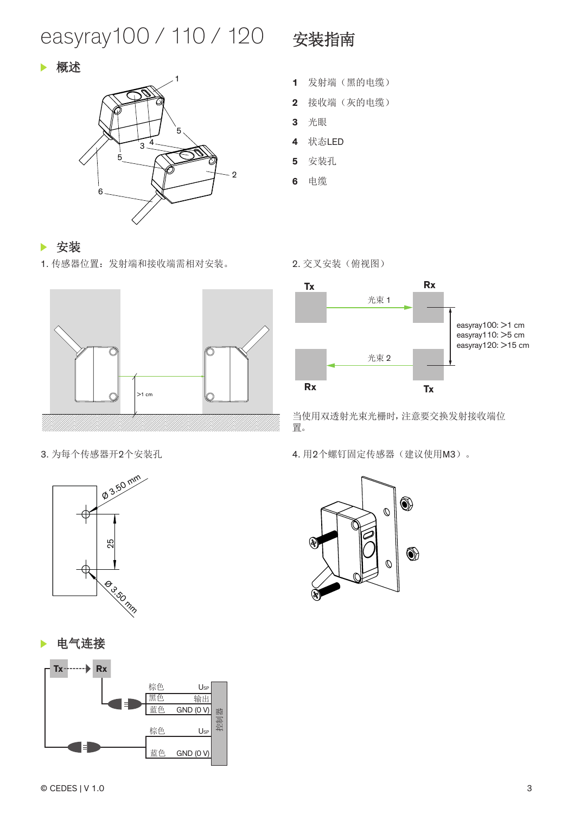easyray100 / 110 / 120 <del>安装指南</del>



- <sup>1</sup> **1** 发射端(黑的电缆)
- **2** 接收端(灰的电缆)
- **3** 光眼
- **4** 状态LED
- **5** 安装孔
- **6** 电缆

# 安装

1. 传感器位置:发射端和接收端需相对安装。



2. 交叉安装(俯视图)



当使用双透射光束光栅时,注意要交换发射接收端位 置。

3. 为每个传感器开2个安装孔 4. 用2个螺钉固定传感器(建议使用M3)。





电气连接 ь